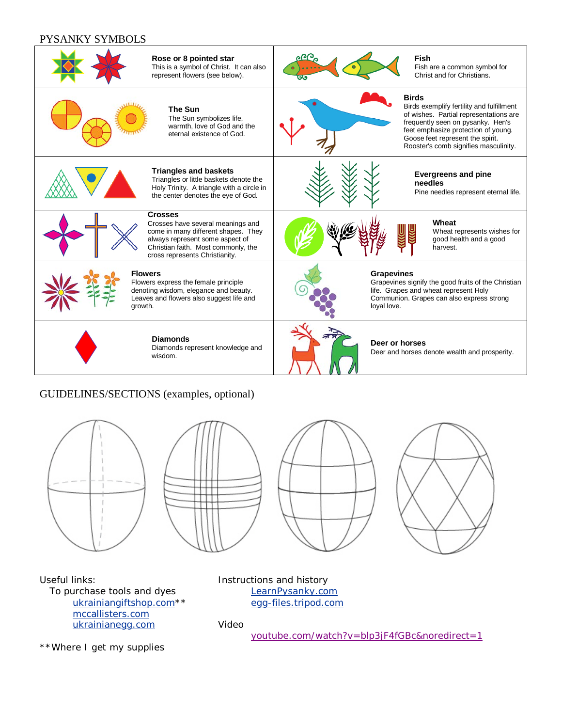## PYSANKY SYMBOLS



## GUIDELINES/SECTIONS (examples, optional)









Useful links: To purchase tools and dyes [ukrainiangiftshop.com\\*](http://www.ukrainiangiftshop.com/)\* [mccallisters.com](http://www.mcallisters.com/) [ukrainianegg.com](http://www.ukrainianegg.com/)

Instructions and history [LearnPysanky.com](http://www.learnpysanky.com/) [egg-files.tripod.com](http://www.egg-files.tripod.com/)

## Video

[youtube.com/watch?v=blp3jF4fGBc&noredirect=1](http://www.youtube.com/watch?v=blp3jF4fGBc&noredirect=1)

\*\*Where I get my supplies